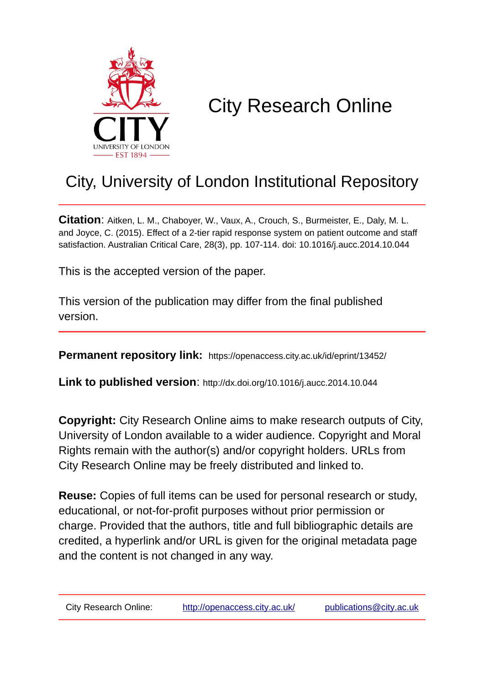

# City Research Online

## City, University of London Institutional Repository

**Citation**: Aitken, L. M., Chaboyer, W., Vaux, A., Crouch, S., Burmeister, E., Daly, M. L. and Joyce, C. (2015). Effect of a 2-tier rapid response system on patient outcome and staff satisfaction. Australian Critical Care, 28(3), pp. 107-114. doi: 10.1016/j.aucc.2014.10.044

This is the accepted version of the paper.

This version of the publication may differ from the final published version.

**Permanent repository link:** https://openaccess.city.ac.uk/id/eprint/13452/

**Link to published version**: http://dx.doi.org/10.1016/j.aucc.2014.10.044

**Copyright:** City Research Online aims to make research outputs of City, University of London available to a wider audience. Copyright and Moral Rights remain with the author(s) and/or copyright holders. URLs from City Research Online may be freely distributed and linked to.

**Reuse:** Copies of full items can be used for personal research or study, educational, or not-for-profit purposes without prior permission or charge. Provided that the authors, title and full bibliographic details are credited, a hyperlink and/or URL is given for the original metadata page and the content is not changed in any way.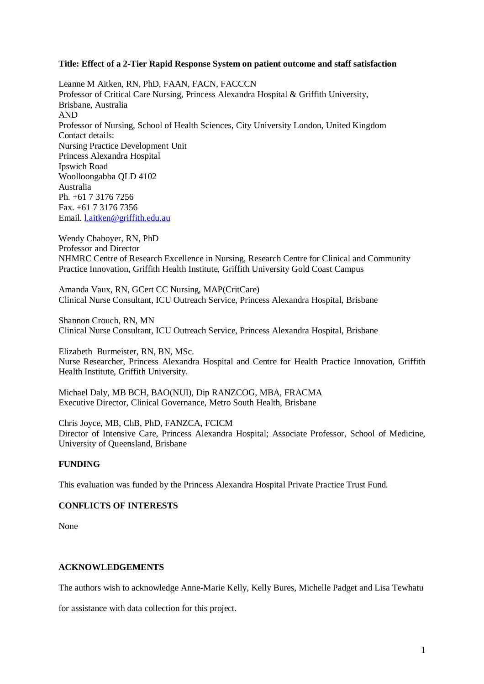#### **Title: Effect of a 2-Tier Rapid Response System on patient outcome and staff satisfaction**

Leanne M Aitken, RN, PhD, FAAN, FACN, FACCCN Professor of Critical Care Nursing, Princess Alexandra Hospital & Griffith University, Brisbane, Australia AND Professor of Nursing, School of Health Sciences, City University London, United Kingdom Contact details: Nursing Practice Development Unit Princess Alexandra Hospital Ipswich Road Woolloongabba QLD 4102 Australia Ph. +61 7 3176 7256 Fax. +61 7 3176 7356 Email. l.aitken@griffith.edu.au

Wendy Chaboyer, RN, PhD Professor and Director NHMRC Centre of Research Excellence in Nursing, Research Centre for Clinical and Community Practice Innovation, Griffith Health Institute, Griffith University Gold Coast Campus

Amanda Vaux, RN, GCert CC Nursing, MAP(CritCare) Clinical Nurse Consultant, ICU Outreach Service, Princess Alexandra Hospital, Brisbane

Shannon Crouch, RN, MN Clinical Nurse Consultant, ICU Outreach Service, Princess Alexandra Hospital, Brisbane

Elizabeth Burmeister, RN, BN, MSc. Nurse Researcher, Princess Alexandra Hospital and Centre for Health Practice Innovation, Griffith Health Institute, Griffith University.

Michael Daly, MB BCH, BAO(NUI), Dip RANZCOG, MBA, FRACMA Executive Director, Clinical Governance, Metro South Health, Brisbane

Chris Joyce, MB, ChB, PhD, FANZCA, FCICM Director of Intensive Care, Princess Alexandra Hospital; Associate Professor, School of Medicine, University of Queensland, Brisbane

#### **FUNDING**

This evaluation was funded by the Princess Alexandra Hospital Private Practice Trust Fund.

#### **CONFLICTS OF INTERESTS**

None

#### **ACKNOWLEDGEMENTS**

The authors wish to acknowledge Anne-Marie Kelly, Kelly Bures, Michelle Padget and Lisa Tewhatu

for assistance with data collection for this project.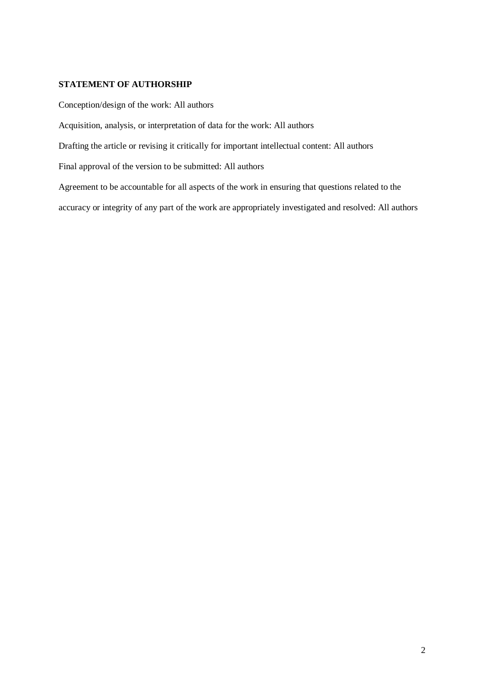#### **STATEMENT OF AUTHORSHIP**

Conception/design of the work: All authors Acquisition, analysis, or interpretation of data for the work: All authors Drafting the article or revising it critically for important intellectual content: All authors Final approval of the version to be submitted: All authors Agreement to be accountable for all aspects of the work in ensuring that questions related to the accuracy or integrity of any part of the work are appropriately investigated and resolved: All authors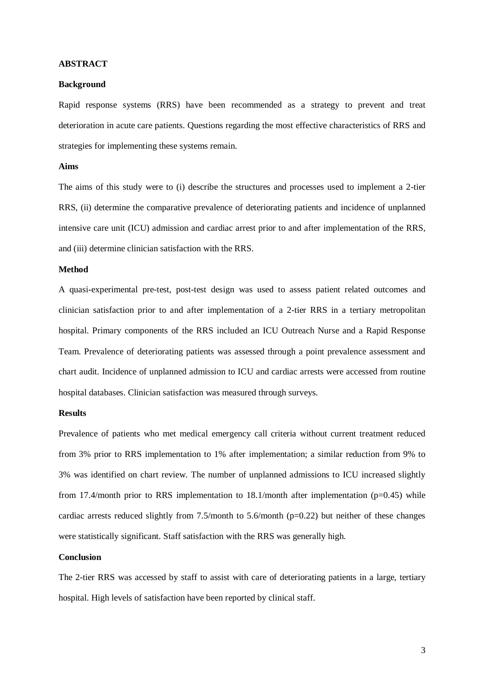#### **ABSTRACT**

#### **Background**

Rapid response systems (RRS) have been recommended as a strategy to prevent and treat deterioration in acute care patients. Questions regarding the most effective characteristics of RRS and strategies for implementing these systems remain.

#### **Aims**

The aims of this study were to (i) describe the structures and processes used to implement a 2-tier RRS, (ii) determine the comparative prevalence of deteriorating patients and incidence of unplanned intensive care unit (ICU) admission and cardiac arrest prior to and after implementation of the RRS, and (iii) determine clinician satisfaction with the RRS.

#### **Method**

A quasi-experimental pre-test, post-test design was used to assess patient related outcomes and clinician satisfaction prior to and after implementation of a 2-tier RRS in a tertiary metropolitan hospital. Primary components of the RRS included an ICU Outreach Nurse and a Rapid Response Team. Prevalence of deteriorating patients was assessed through a point prevalence assessment and chart audit. Incidence of unplanned admission to ICU and cardiac arrests were accessed from routine hospital databases. Clinician satisfaction was measured through surveys.

#### **Results**

Prevalence of patients who met medical emergency call criteria without current treatment reduced from 3% prior to RRS implementation to 1% after implementation; a similar reduction from 9% to 3% was identified on chart review. The number of unplanned admissions to ICU increased slightly from 17.4/month prior to RRS implementation to  $18.1$ /month after implementation (p=0.45) while cardiac arrests reduced slightly from 7.5/month to 5.6/month (p=0.22) but neither of these changes were statistically significant. Staff satisfaction with the RRS was generally high.

#### **Conclusion**

The 2-tier RRS was accessed by staff to assist with care of deteriorating patients in a large, tertiary hospital. High levels of satisfaction have been reported by clinical staff.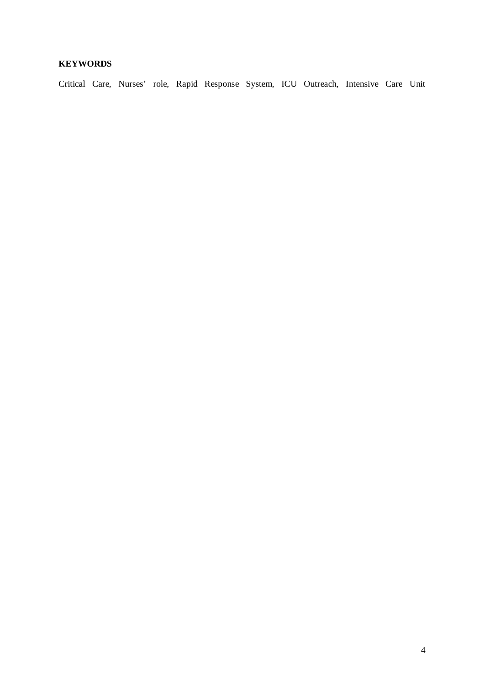## **KEYWORDS**

Critical Care, Nurses' role, Rapid Response System, ICU Outreach, Intensive Care Unit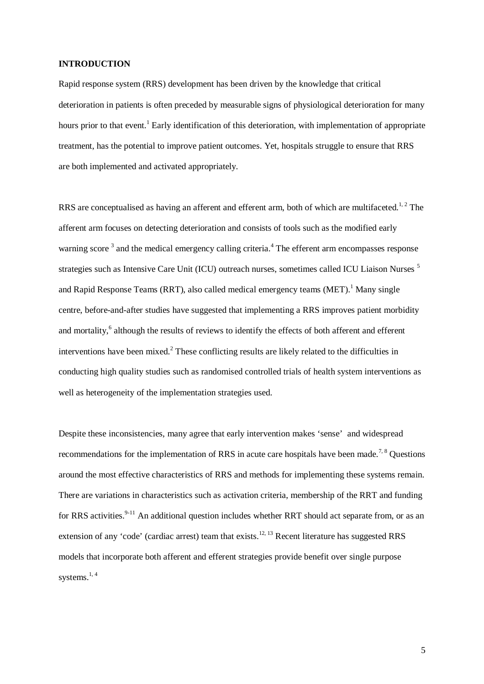#### **INTRODUCTION**

Rapid response system (RRS) development has been driven by the knowledge that critical deterioration in patients is often preceded by measurable signs of physiological deterioration for many hours prior to that event.<sup>1</sup> Early identification of this deterioration, with implementation of appropriate treatment, has the potential to improve patient outcomes. Yet, hospitals struggle to ensure that RRS are both implemented and activated appropriately.

RRS are conceptualised as having an afferent and efferent arm, both of which are multifaceted.<sup>1, 2</sup> The afferent arm focuses on detecting deterioration and consists of tools such as the modified early warning score<sup>3</sup> and the medical emergency calling criteria.<sup>4</sup> The efferent arm encompasses response strategies such as Intensive Care Unit (ICU) outreach nurses, sometimes called ICU Liaison Nurses <sup>5</sup> and Rapid Response Teams (RRT), also called medical emergency teams (MET). Many single centre, before-and-after studies have suggested that implementing a RRS improves patient morbidity and mortality,<sup>6</sup> although the results of reviews to identify the effects of both afferent and efferent interventions have been mixed.<sup>2</sup> These conflicting results are likely related to the difficulties in conducting high quality studies such as randomised controlled trials of health system interventions as well as heterogeneity of the implementation strategies used.

Despite these inconsistencies, many agree that early intervention makes 'sense' and widespread recommendations for the implementation of RRS in acute care hospitals have been made.<sup>7, 8</sup> Ouestions around the most effective characteristics of RRS and methods for implementing these systems remain. There are variations in characteristics such as activation criteria, membership of the RRT and funding for RRS activities.<sup>9-11</sup> An additional question includes whether RRT should act separate from, or as an extension of any 'code' (cardiac arrest) team that exists.<sup>12, 13</sup> Recent literature has suggested RRS models that incorporate both afferent and efferent strategies provide benefit over single purpose systems. $1, 4$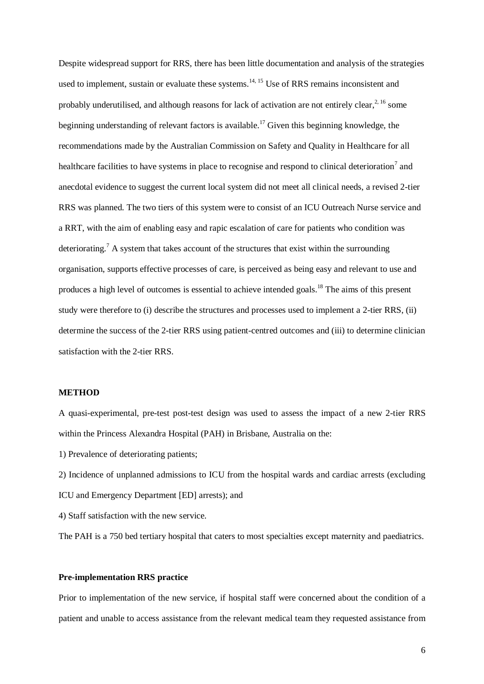Despite widespread support for RRS, there has been little documentation and analysis of the strategies used to implement, sustain or evaluate these systems.<sup>14, 15</sup> Use of RRS remains inconsistent and probably underutilised, and although reasons for lack of activation are not entirely clear,<sup>2, 16</sup> some beginning understanding of relevant factors is available.<sup>17</sup> Given this beginning knowledge, the recommendations made by the Australian Commission on Safety and Quality in Healthcare for all healthcare facilities to have systems in place to recognise and respond to clinical deterioration<sup>7</sup> and anecdotal evidence to suggest the current local system did not meet all clinical needs, a revised 2-tier RRS was planned. The two tiers of this system were to consist of an ICU Outreach Nurse service and a RRT, with the aim of enabling easy and rapic escalation of care for patients who condition was deteriorating.<sup>7</sup> A system that takes account of the structures that exist within the surrounding organisation, supports effective processes of care, is perceived as being easy and relevant to use and produces a high level of outcomes is essential to achieve intended goals.<sup>18</sup> The aims of this present study were therefore to (i) describe the structures and processes used to implement a 2-tier RRS, (ii) determine the success of the 2-tier RRS using patient-centred outcomes and (iii) to determine clinician satisfaction with the 2-tier RRS.

#### **METHOD**

A quasi-experimental, pre-test post-test design was used to assess the impact of a new 2-tier RRS within the Princess Alexandra Hospital (PAH) in Brisbane, Australia on the:

1) Prevalence of deteriorating patients;

2) Incidence of unplanned admissions to ICU from the hospital wards and cardiac arrests (excluding ICU and Emergency Department [ED] arrests); and

4) Staff satisfaction with the new service.

The PAH is a 750 bed tertiary hospital that caters to most specialties except maternity and paediatrics.

#### **Pre-implementation RRS practice**

Prior to implementation of the new service, if hospital staff were concerned about the condition of a patient and unable to access assistance from the relevant medical team they requested assistance from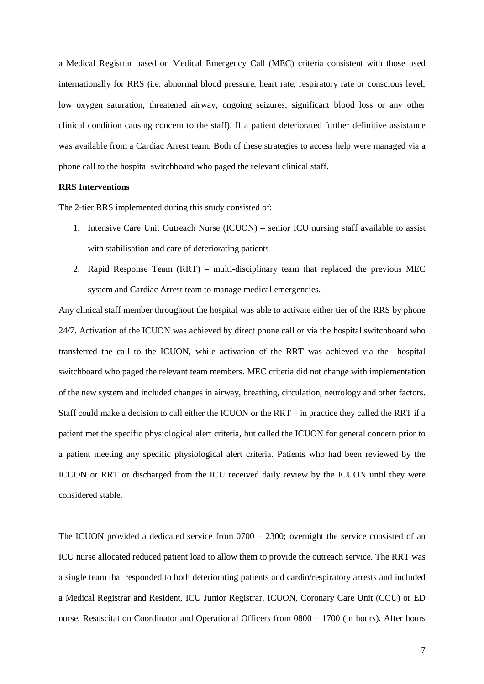a Medical Registrar based on Medical Emergency Call (MEC) criteria consistent with those used internationally for RRS (i.e. abnormal blood pressure, heart rate, respiratory rate or conscious level, low oxygen saturation, threatened airway, ongoing seizures, significant blood loss or any other clinical condition causing concern to the staff). If a patient deteriorated further definitive assistance was available from a Cardiac Arrest team. Both of these strategies to access help were managed via a phone call to the hospital switchboard who paged the relevant clinical staff.

#### **RRS Interventions**

The 2-tier RRS implemented during this study consisted of:

- 1. Intensive Care Unit Outreach Nurse (ICUON) senior ICU nursing staff available to assist with stabilisation and care of deteriorating patients
- 2. Rapid Response Team (RRT) multi-disciplinary team that replaced the previous MEC system and Cardiac Arrest team to manage medical emergencies.

Any clinical staff member throughout the hospital was able to activate either tier of the RRS by phone 24/7. Activation of the ICUON was achieved by direct phone call or via the hospital switchboard who transferred the call to the ICUON, while activation of the RRT was achieved via the hospital switchboard who paged the relevant team members. MEC criteria did not change with implementation of the new system and included changes in airway, breathing, circulation, neurology and other factors. Staff could make a decision to call either the ICUON or the RRT – in practice they called the RRT if a patient met the specific physiological alert criteria, but called the ICUON for general concern prior to a patient meeting any specific physiological alert criteria. Patients who had been reviewed by the ICUON or RRT or discharged from the ICU received daily review by the ICUON until they were considered stable.

The ICUON provided a dedicated service from 0700 – 2300; overnight the service consisted of an ICU nurse allocated reduced patient load to allow them to provide the outreach service. The RRT was a single team that responded to both deteriorating patients and cardio/respiratory arrests and included a Medical Registrar and Resident, ICU Junior Registrar, ICUON, Coronary Care Unit (CCU) or ED nurse, Resuscitation Coordinator and Operational Officers from 0800 – 1700 (in hours). After hours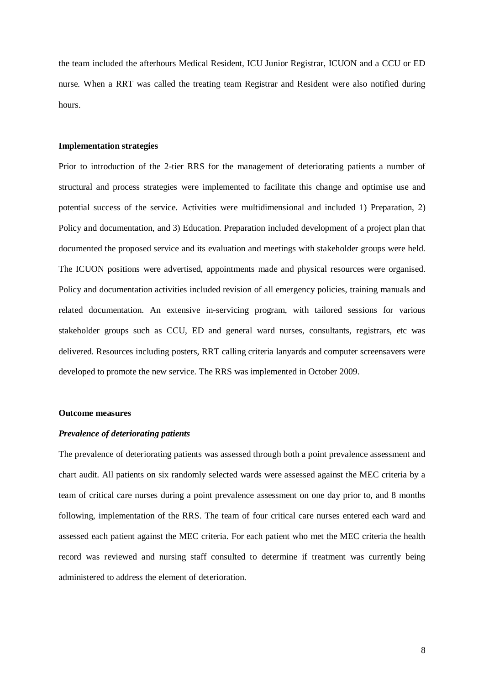the team included the afterhours Medical Resident, ICU Junior Registrar, ICUON and a CCU or ED nurse. When a RRT was called the treating team Registrar and Resident were also notified during hours.

#### **Implementation strategies**

Prior to introduction of the 2-tier RRS for the management of deteriorating patients a number of structural and process strategies were implemented to facilitate this change and optimise use and potential success of the service. Activities were multidimensional and included 1) Preparation, 2) Policy and documentation, and 3) Education. Preparation included development of a project plan that documented the proposed service and its evaluation and meetings with stakeholder groups were held. The ICUON positions were advertised, appointments made and physical resources were organised. Policy and documentation activities included revision of all emergency policies, training manuals and related documentation. An extensive in-servicing program, with tailored sessions for various stakeholder groups such as CCU, ED and general ward nurses, consultants, registrars, etc was delivered. Resources including posters, RRT calling criteria lanyards and computer screensavers were developed to promote the new service. The RRS was implemented in October 2009.

#### **Outcome measures**

#### *Prevalence of deteriorating patients*

The prevalence of deteriorating patients was assessed through both a point prevalence assessment and chart audit. All patients on six randomly selected wards were assessed against the MEC criteria by a team of critical care nurses during a point prevalence assessment on one day prior to, and 8 months following, implementation of the RRS. The team of four critical care nurses entered each ward and assessed each patient against the MEC criteria. For each patient who met the MEC criteria the health record was reviewed and nursing staff consulted to determine if treatment was currently being administered to address the element of deterioration.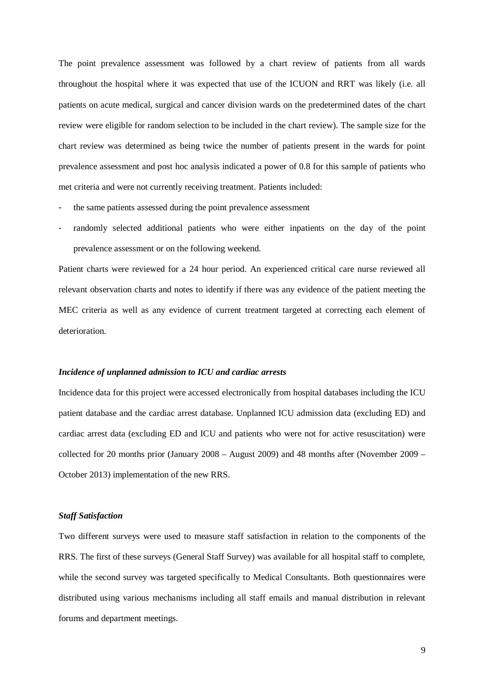The point prevalence assessment was followed by a chart review of patients from all wards throughout the hospital where it was expected that use of the ICUON and RRT was likely (i.e. all patients on acute medical, surgical and cancer division wards on the predetermined dates of the chart review were eligible for random selection to be included in the chart review). The sample size for the chart review was determined as being twice the number of patients present in the wards for point prevalence assessment and post hoc analysis indicated a power of 0.8 for this sample of patients who met criteria and were not currently receiving treatment. Patients included:

- the same patients assessed during the point prevalence assessment
- randomly selected additional patients who were either inpatients on the day of the point prevalence assessment or on the following weekend.

Patient charts were reviewed for a 24 hour period. An experienced critical care nurse reviewed all relevant observation charts and notes to identify if there was any evidence of the patient meeting the MEC criteria as well as any evidence of current treatment targeted at correcting each element of deterioration.

#### *Incidence of unplanned admission to ICU and cardiac arrests*

Incidence data for this project were accessed electronically from hospital databases including the ICU patient database and the cardiac arrest database. Unplanned ICU admission data (excluding ED) and cardiac arrest data (excluding ED and ICU and patients who were not for active resuscitation) were collected for 20 months prior (January 2008 – August 2009) and 48 months after (November 2009 – October 2013) implementation of the new RRS.

#### *Staff Satisfaction*

Two different surveys were used to measure staff satisfaction in relation to the components of the RRS. The first of these surveys (General Staff Survey) was available for all hospital staff to complete, while the second survey was targeted specifically to Medical Consultants. Both questionnaires were distributed using various mechanisms including all staff emails and manual distribution in relevant forums and department meetings.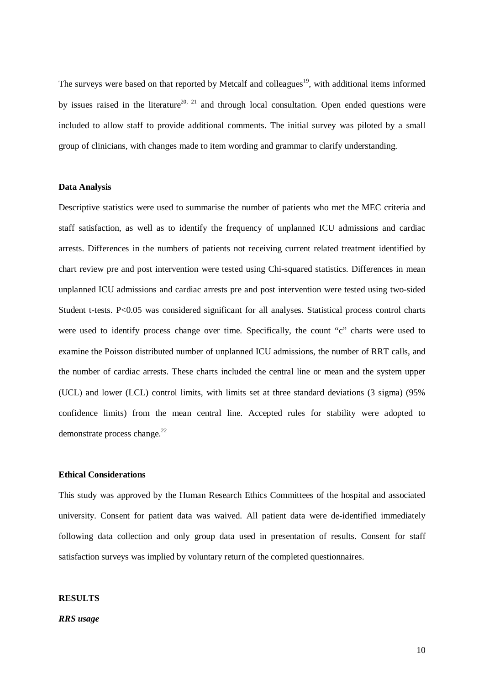The surveys were based on that reported by Metcalf and colleagues<sup>19</sup>, with additional items informed by issues raised in the literature<sup>20, 21</sup> and through local consultation. Open ended questions were included to allow staff to provide additional comments. The initial survey was piloted by a small group of clinicians, with changes made to item wording and grammar to clarify understanding.

#### **Data Analysis**

Descriptive statistics were used to summarise the number of patients who met the MEC criteria and staff satisfaction, as well as to identify the frequency of unplanned ICU admissions and cardiac arrests. Differences in the numbers of patients not receiving current related treatment identified by chart review pre and post intervention were tested using Chi-squared statistics. Differences in mean unplanned ICU admissions and cardiac arrests pre and post intervention were tested using two-sided Student t-tests. P<0.05 was considered significant for all analyses. Statistical process control charts were used to identify process change over time. Specifically, the count "c" charts were used to examine the Poisson distributed number of unplanned ICU admissions, the number of RRT calls, and the number of cardiac arrests. These charts included the central line or mean and the system upper (UCL) and lower (LCL) control limits, with limits set at three standard deviations (3 sigma) (95% confidence limits) from the mean central line. Accepted rules for stability were adopted to demonstrate process change. $^{22}$ 

#### **Ethical Considerations**

This study was approved by the Human Research Ethics Committees of the hospital and associated university. Consent for patient data was waived. All patient data were de-identified immediately following data collection and only group data used in presentation of results. Consent for staff satisfaction surveys was implied by voluntary return of the completed questionnaires.

#### **RESULTS**

*RRS usage*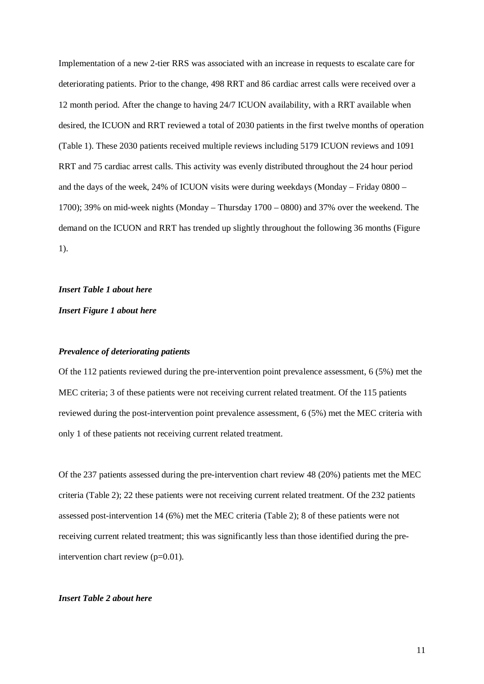Implementation of a new 2-tier RRS was associated with an increase in requests to escalate care for deteriorating patients. Prior to the change, 498 RRT and 86 cardiac arrest calls were received over a 12 month period. After the change to having 24/7 ICUON availability, with a RRT available when desired, the ICUON and RRT reviewed a total of 2030 patients in the first twelve months of operation (Table 1). These 2030 patients received multiple reviews including 5179 ICUON reviews and 1091 RRT and 75 cardiac arrest calls. This activity was evenly distributed throughout the 24 hour period and the days of the week, 24% of ICUON visits were during weekdays (Monday – Friday 0800 – 1700); 39% on mid-week nights (Monday – Thursday 1700 – 0800) and 37% over the weekend. The demand on the ICUON and RRT has trended up slightly throughout the following 36 months (Figure 1).

#### *Insert Table 1 about here*

*Insert Figure 1 about here*

#### *Prevalence of deteriorating patients*

Of the 112 patients reviewed during the pre-intervention point prevalence assessment, 6 (5%) met the MEC criteria; 3 of these patients were not receiving current related treatment. Of the 115 patients reviewed during the post-intervention point prevalence assessment, 6 (5%) met the MEC criteria with only 1 of these patients not receiving current related treatment.

Of the 237 patients assessed during the pre-intervention chart review 48 (20%) patients met the MEC criteria (Table 2); 22 these patients were not receiving current related treatment. Of the 232 patients assessed post-intervention 14 (6%) met the MEC criteria (Table 2); 8 of these patients were not receiving current related treatment; this was significantly less than those identified during the preintervention chart review (p=0.01).

#### *Insert Table 2 about here*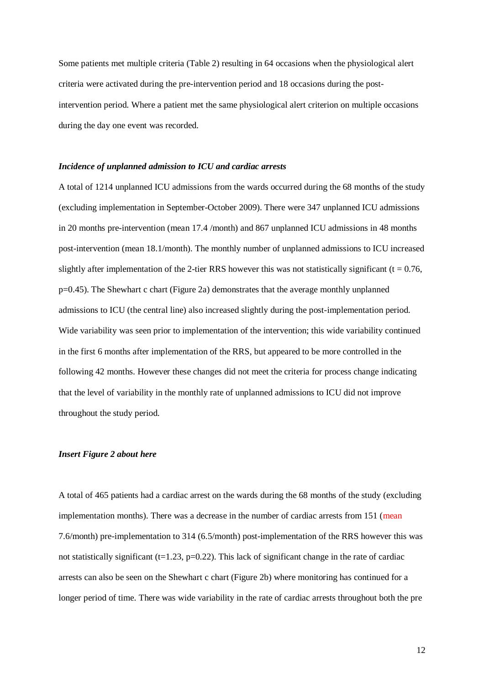Some patients met multiple criteria (Table 2) resulting in 64 occasions when the physiological alert criteria were activated during the pre-intervention period and 18 occasions during the postintervention period. Where a patient met the same physiological alert criterion on multiple occasions during the day one event was recorded.

#### *Incidence of unplanned admission to ICU and cardiac arrests*

A total of 1214 unplanned ICU admissions from the wards occurred during the 68 months of the study (excluding implementation in September-October 2009). There were 347 unplanned ICU admissions in 20 months pre-intervention (mean 17.4 /month) and 867 unplanned ICU admissions in 48 months post-intervention (mean 18.1/month). The monthly number of unplanned admissions to ICU increased slightly after implementation of the 2-tier RRS however this was not statistically significant ( $t = 0.76$ ,  $p=0.45$ ). The Shewhart c chart (Figure 2a) demonstrates that the average monthly unplanned admissions to ICU (the central line) also increased slightly during the post-implementation period. Wide variability was seen prior to implementation of the intervention; this wide variability continued in the first 6 months after implementation of the RRS, but appeared to be more controlled in the following 42 months. However these changes did not meet the criteria for process change indicating that the level of variability in the monthly rate of unplanned admissions to ICU did not improve throughout the study period.

#### *Insert Figure 2 about here*

A total of 465 patients had a cardiac arrest on the wards during the 68 months of the study (excluding implementation months). There was a decrease in the number of cardiac arrests from 151 (mean 7.6/month) pre-implementation to 314 (6.5/month) post-implementation of the RRS however this was not statistically significant ( $t=1.23$ ,  $p=0.22$ ). This lack of significant change in the rate of cardiac arrests can also be seen on the Shewhart c chart (Figure 2b) where monitoring has continued for a longer period of time. There was wide variability in the rate of cardiac arrests throughout both the pre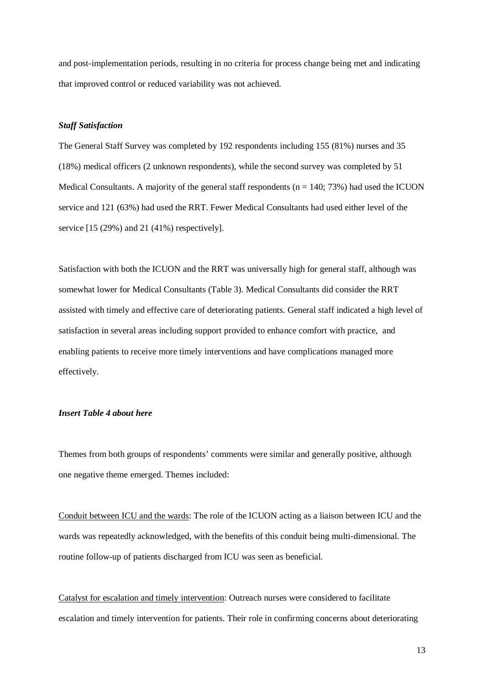and post-implementation periods, resulting in no criteria for process change being met and indicating that improved control or reduced variability was not achieved.

#### *Staff Satisfaction*

The General Staff Survey was completed by 192 respondents including 155 (81%) nurses and 35 (18%) medical officers (2 unknown respondents), while the second survey was completed by 51 Medical Consultants. A majority of the general staff respondents ( $n = 140$ ; 73%) had used the ICUON service and 121 (63%) had used the RRT. Fewer Medical Consultants had used either level of the service [15 (29%) and 21 (41%) respectively].

Satisfaction with both the ICUON and the RRT was universally high for general staff, although was somewhat lower for Medical Consultants (Table 3). Medical Consultants did consider the RRT assisted with timely and effective care of deteriorating patients. General staff indicated a high level of satisfaction in several areas including support provided to enhance comfort with practice, and enabling patients to receive more timely interventions and have complications managed more effectively.

#### *Insert Table 4 about here*

Themes from both groups of respondents' comments were similar and generally positive, although one negative theme emerged. Themes included:

Conduit between ICU and the wards: The role of the ICUON acting as a liaison between ICU and the wards was repeatedly acknowledged, with the benefits of this conduit being multi-dimensional. The routine follow-up of patients discharged from ICU was seen as beneficial.

Catalyst for escalation and timely intervention: Outreach nurses were considered to facilitate escalation and timely intervention for patients. Their role in confirming concerns about deteriorating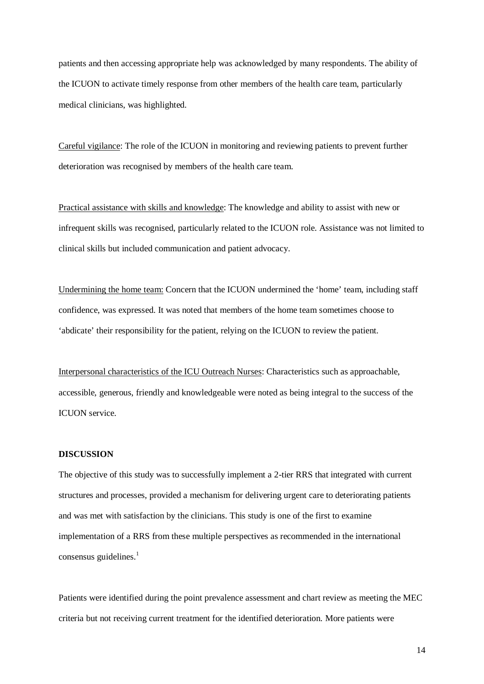patients and then accessing appropriate help was acknowledged by many respondents. The ability of the ICUON to activate timely response from other members of the health care team, particularly medical clinicians, was highlighted.

Careful vigilance: The role of the ICUON in monitoring and reviewing patients to prevent further deterioration was recognised by members of the health care team.

Practical assistance with skills and knowledge: The knowledge and ability to assist with new or infrequent skills was recognised, particularly related to the ICUON role. Assistance was not limited to clinical skills but included communication and patient advocacy.

Undermining the home team: Concern that the ICUON undermined the 'home' team, including staff confidence, was expressed. It was noted that members of the home team sometimes choose to 'abdicate' their responsibility for the patient, relying on the ICUON to review the patient.

Interpersonal characteristics of the ICU Outreach Nurses: Characteristics such as approachable, accessible, generous, friendly and knowledgeable were noted as being integral to the success of the ICUON service.

#### **DISCUSSION**

The objective of this study was to successfully implement a 2-tier RRS that integrated with current structures and processes, provided a mechanism for delivering urgent care to deteriorating patients and was met with satisfaction by the clinicians. This study is one of the first to examine implementation of a RRS from these multiple perspectives as recommended in the international consensus guidelines. $<sup>1</sup>$ </sup>

Patients were identified during the point prevalence assessment and chart review as meeting the MEC criteria but not receiving current treatment for the identified deterioration. More patients were

14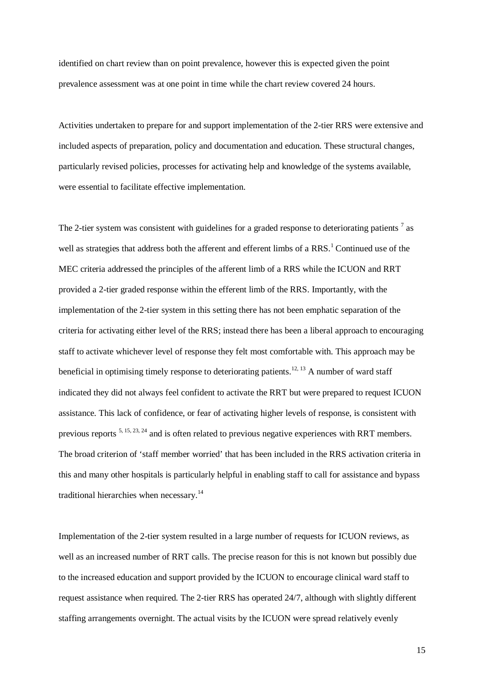identified on chart review than on point prevalence, however this is expected given the point prevalence assessment was at one point in time while the chart review covered 24 hours.

Activities undertaken to prepare for and support implementation of the 2-tier RRS were extensive and included aspects of preparation, policy and documentation and education. These structural changes, particularly revised policies, processes for activating help and knowledge of the systems available, were essential to facilitate effective implementation.

The 2-tier system was consistent with guidelines for a graded response to deteriorating patients<sup>7</sup> as well as strategies that address both the afferent and efferent limbs of a RRS.<sup>1</sup> Continued use of the MEC criteria addressed the principles of the afferent limb of a RRS while the ICUON and RRT provided a 2-tier graded response within the efferent limb of the RRS. Importantly, with the implementation of the 2-tier system in this setting there has not been emphatic separation of the criteria for activating either level of the RRS; instead there has been a liberal approach to encouraging staff to activate whichever level of response they felt most comfortable with. This approach may be beneficial in optimising timely response to deteriorating patients.<sup>12, 13</sup> A number of ward staff indicated they did not always feel confident to activate the RRT but were prepared to request ICUON assistance. This lack of confidence, or fear of activating higher levels of response, is consistent with previous reports 5, 15, 23, 24 and is often related to previous negative experiences with RRT members. The broad criterion of 'staff member worried' that has been included in the RRS activation criteria in this and many other hospitals is particularly helpful in enabling staff to call for assistance and bypass traditional hierarchies when necessary.<sup>14</sup>

Implementation of the 2-tier system resulted in a large number of requests for ICUON reviews, as well as an increased number of RRT calls. The precise reason for this is not known but possibly due to the increased education and support provided by the ICUON to encourage clinical ward staff to request assistance when required. The 2-tier RRS has operated 24/7, although with slightly different staffing arrangements overnight. The actual visits by the ICUON were spread relatively evenly

15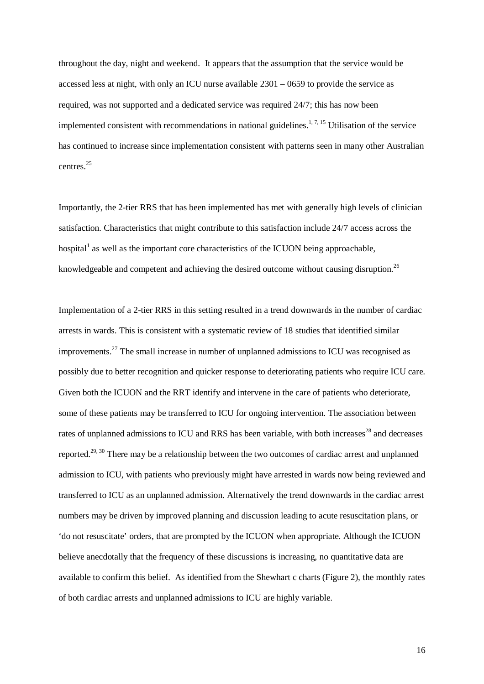throughout the day, night and weekend. It appears that the assumption that the service would be accessed less at night, with only an ICU nurse available 2301 – 0659 to provide the service as required, was not supported and a dedicated service was required 24/7; this has now been implemented consistent with recommendations in national guidelines.<sup>1, 7, 15</sup> Utilisation of the service has continued to increase since implementation consistent with patterns seen in many other Australian centres<sup>25</sup>

Importantly, the 2-tier RRS that has been implemented has met with generally high levels of clinician satisfaction. Characteristics that might contribute to this satisfaction include 24/7 access across the hospital<sup>1</sup> as well as the important core characteristics of the ICUON being approachable, knowledgeable and competent and achieving the desired outcome without causing disruption.<sup>26</sup>

Implementation of a 2-tier RRS in this setting resulted in a trend downwards in the number of cardiac arrests in wards. This is consistent with a systematic review of 18 studies that identified similar improvements.<sup>27</sup> The small increase in number of unplanned admissions to ICU was recognised as possibly due to better recognition and quicker response to deteriorating patients who require ICU care. Given both the ICUON and the RRT identify and intervene in the care of patients who deteriorate, some of these patients may be transferred to ICU for ongoing intervention. The association between rates of unplanned admissions to ICU and RRS has been variable, with both increases<sup>28</sup> and decreases reported.<sup>29, 30</sup> There may be a relationship between the two outcomes of cardiac arrest and unplanned admission to ICU, with patients who previously might have arrested in wards now being reviewed and transferred to ICU as an unplanned admission. Alternatively the trend downwards in the cardiac arrest numbers may be driven by improved planning and discussion leading to acute resuscitation plans, or 'do not resuscitate' orders, that are prompted by the ICUON when appropriate. Although the ICUON believe anecdotally that the frequency of these discussions is increasing, no quantitative data are available to confirm this belief. As identified from the Shewhart c charts (Figure 2), the monthly rates of both cardiac arrests and unplanned admissions to ICU are highly variable.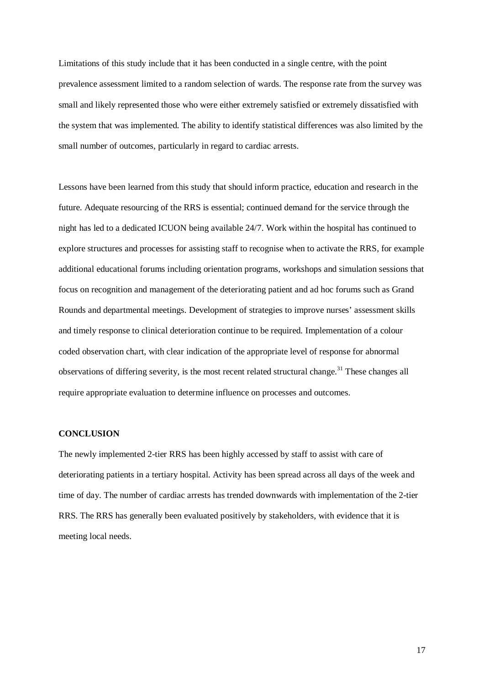Limitations of this study include that it has been conducted in a single centre, with the point prevalence assessment limited to a random selection of wards. The response rate from the survey was small and likely represented those who were either extremely satisfied or extremely dissatisfied with the system that was implemented. The ability to identify statistical differences was also limited by the small number of outcomes, particularly in regard to cardiac arrests.

Lessons have been learned from this study that should inform practice, education and research in the future. Adequate resourcing of the RRS is essential; continued demand for the service through the night has led to a dedicated ICUON being available 24/7. Work within the hospital has continued to explore structures and processes for assisting staff to recognise when to activate the RRS, for example additional educational forums including orientation programs, workshops and simulation sessions that focus on recognition and management of the deteriorating patient and ad hoc forums such as Grand Rounds and departmental meetings. Development of strategies to improve nurses' assessment skills and timely response to clinical deterioration continue to be required. Implementation of a colour coded observation chart, with clear indication of the appropriate level of response for abnormal observations of differing severity, is the most recent related structural change.<sup>31</sup> These changes all require appropriate evaluation to determine influence on processes and outcomes.

#### **CONCLUSION**

The newly implemented 2-tier RRS has been highly accessed by staff to assist with care of deteriorating patients in a tertiary hospital. Activity has been spread across all days of the week and time of day. The number of cardiac arrests has trended downwards with implementation of the 2-tier RRS. The RRS has generally been evaluated positively by stakeholders, with evidence that it is meeting local needs.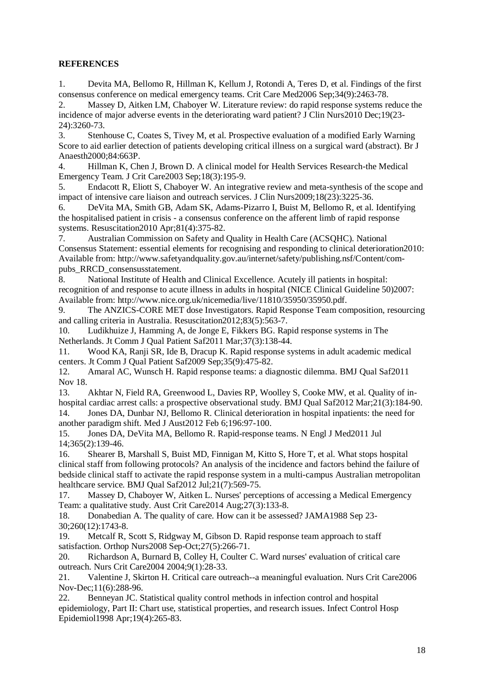#### **REFERENCES**

1. Devita MA, Bellomo R, Hillman K, Kellum J, Rotondi A, Teres D, et al. Findings of the first consensus conference on medical emergency teams. Crit Care Med2006 Sep;34(9):2463-78.

2. Massey D, Aitken LM, Chaboyer W. Literature review: do rapid response systems reduce the incidence of major adverse events in the deteriorating ward patient? J Clin Nurs2010 Dec;19(23- 24):3260-73.

3. Stenhouse C, Coates S, Tivey M, et al. Prospective evaluation of a modified Early Warning Score to aid earlier detection of patients developing critical illness on a surgical ward (abstract). Br J Anaesth2000;84:663P.

4. Hillman K, Chen J, Brown D. A clinical model for Health Services Research-the Medical Emergency Team. J Crit Care2003 Sep;18(3):195-9.

5. Endacott R, Eliott S, Chaboyer W. An integrative review and meta-synthesis of the scope and impact of intensive care liaison and outreach services. J Clin Nurs2009;18(23):3225-36.

6. DeVita MA, Smith GB, Adam SK, Adams-Pizarro I, Buist M, Bellomo R, et al. Identifying the hospitalised patient in crisis - a consensus conference on the afferent limb of rapid response systems. Resuscitation2010 Apr;81(4):375-82.

7. Australian Commission on Safety and Quality in Health Care (ACSQHC). National Consensus Statement: essential elements for recognising and responding to clinical deterioration2010: Available from: http://www.safetyandquality.gov.au/internet/safety/publishing.nsf/Content/compubs\_RRCD\_consensusstatement.

8. National Institute of Health and Clinical Excellence. Acutely ill patients in hospital: recognition of and response to acute illness in adults in hospital (NICE Clinical Guideline 50)2007: Available from: http://www.nice.org.uk/nicemedia/live/11810/35950/35950.pdf.

9. The ANZICS-CORE MET dose Investigators. Rapid Response Team composition, resourcing and calling criteria in Australia. Resuscitation2012;83(5):563-7.

10. Ludikhuize J, Hamming A, de Jonge E, Fikkers BG. Rapid response systems in The Netherlands. Jt Comm J Qual Patient Saf2011 Mar;37(3):138-44.

11. Wood KA, Ranji SR, Ide B, Dracup K. Rapid response systems in adult academic medical centers. Jt Comm J Qual Patient Saf2009 Sep;35(9):475-82.

12. Amaral AC, Wunsch H. Rapid response teams: a diagnostic dilemma. BMJ Qual Saf2011 Nov 18.

13. Akhtar N, Field RA, Greenwood L, Davies RP, Woolley S, Cooke MW, et al. Quality of inhospital cardiac arrest calls: a prospective observational study. BMJ Qual Saf2012 Mar;21(3):184-90. 14. Jones DA, Dunbar NJ, Bellomo R. Clinical deterioration in hospital inpatients: the need for

another paradigm shift. Med J Aust2012 Feb 6;196:97-100.

15. Jones DA, DeVita MA, Bellomo R. Rapid-response teams. N Engl J Med2011 Jul 14;365(2):139-46.

16. Shearer B, Marshall S, Buist MD, Finnigan M, Kitto S, Hore T, et al. What stops hospital clinical staff from following protocols? An analysis of the incidence and factors behind the failure of bedside clinical staff to activate the rapid response system in a multi-campus Australian metropolitan healthcare service. BMJ Qual Saf $2012$  Jul; $21(7)$ :569-75.

17. Massey D, Chaboyer W, Aitken L. Nurses' perceptions of accessing a Medical Emergency Team: a qualitative study. Aust Crit Care2014 Aug;27(3):133-8.

18. Donabedian A. The quality of care. How can it be assessed? JAMA1988 Sep 23- 30;260(12):1743-8.

19. Metcalf R, Scott S, Ridgway M, Gibson D. Rapid response team approach to staff satisfaction. Orthop Nurs2008 Sep-Oct;27(5):266-71.

20. Richardson A, Burnard B, Colley H, Coulter C. Ward nurses' evaluation of critical care outreach. Nurs Crit Care2004 2004;9(1):28-33.

21. Valentine J, Skirton H. Critical care outreach--a meaningful evaluation. Nurs Crit Care2006 Nov-Dec;11(6):288-96.

22. Benneyan JC. Statistical quality control methods in infection control and hospital epidemiology, Part II: Chart use, statistical properties, and research issues. Infect Control Hosp Epidemiol1998 Apr;19(4):265-83.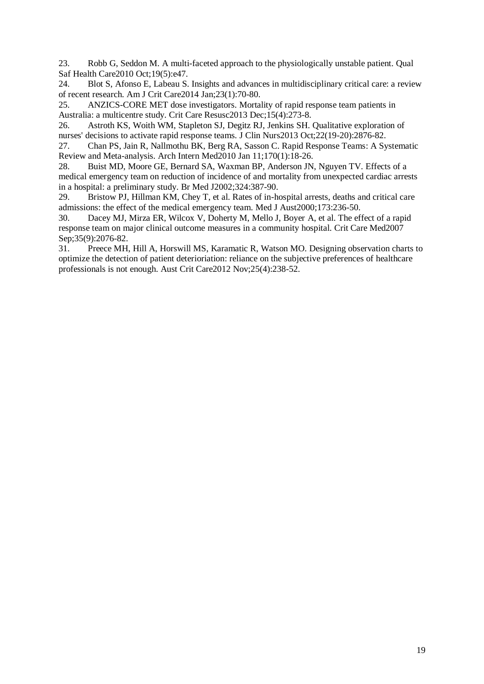23. Robb G, Seddon M. A multi-faceted approach to the physiologically unstable patient. Qual Saf Health Care2010 Oct;19(5):e47.

24. Blot S, Afonso E, Labeau S. Insights and advances in multidisciplinary critical care: a review of recent research. Am J Crit Care2014 Jan;23(1):70-80.

25. ANZICS-CORE MET dose investigators. Mortality of rapid response team patients in Australia: a multicentre study. Crit Care Resusc2013 Dec;15(4):273-8.

26. Astroth KS, Woith WM, Stapleton SJ, Degitz RJ, Jenkins SH. Qualitative exploration of nurses' decisions to activate rapid response teams. J Clin Nurs2013 Oct;22(19-20):2876-82.

27. Chan PS, Jain R, Nallmothu BK, Berg RA, Sasson C. Rapid Response Teams: A Systematic Review and Meta-analysis. Arch Intern Med2010 Jan 11;170(1):18-26.

28. Buist MD, Moore GE, Bernard SA, Waxman BP, Anderson JN, Nguyen TV. Effects of a medical emergency team on reduction of incidence of and mortality from unexpected cardiac arrests in a hospital: a preliminary study. Br Med J2002;324:387-90.

29. Bristow PJ, Hillman KM, Chey T, et al. Rates of in-hospital arrests, deaths and critical care admissions: the effect of the medical emergency team. Med J Aust2000;173:236-50.

30. Dacey MJ, Mirza ER, Wilcox V, Doherty M, Mello J, Boyer A, et al. The effect of a rapid response team on major clinical outcome measures in a community hospital. Crit Care Med2007 Sep: 35(9): 2076-82.

31. Preece MH, Hill A, Horswill MS, Karamatic R, Watson MO. Designing observation charts to optimize the detection of patient deterioriation: reliance on the subjective preferences of healthcare professionals is not enough. Aust Crit Care2012 Nov;25(4):238-52.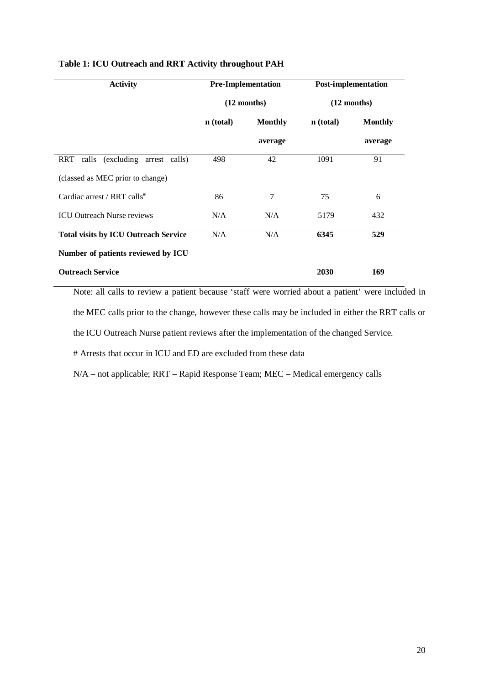| <b>Activity</b>                             | <b>Pre-Implementation</b> |                | <b>Post-implementation</b> |                |
|---------------------------------------------|---------------------------|----------------|----------------------------|----------------|
|                                             | $(12$ months)             |                | $(12$ months)              |                |
|                                             | n (total)                 | <b>Monthly</b> | n (total)                  | <b>Monthly</b> |
|                                             |                           | average        |                            | average        |
| (excluding arrest calls)<br>RRT calls       | 498                       | 42             | 1091                       | 91             |
| (classed as MEC prior to change)            |                           |                |                            |                |
| Cardiac arrest / RRT calls <sup>#</sup>     | 86                        | 7              | 75                         | 6              |
| <b>ICU Outreach Nurse reviews</b>           | N/A                       | N/A            | 5179                       | 432            |
| <b>Total visits by ICU Outreach Service</b> | N/A                       | N/A            | 6345                       | 529            |
| Number of patients reviewed by ICU          |                           |                |                            |                |
| <b>Outreach Service</b>                     |                           |                | 2030                       | 169            |

#### **Table 1: ICU Outreach and RRT Activity throughout PAH**

Note: all calls to review a patient because 'staff were worried about a patient' were included in the MEC calls prior to the change, however these calls may be included in either the RRT calls or the ICU Outreach Nurse patient reviews after the implementation of the changed Service.

# Arrests that occur in ICU and ED are excluded from these data

N/A – not applicable; RRT – Rapid Response Team; MEC – Medical emergency calls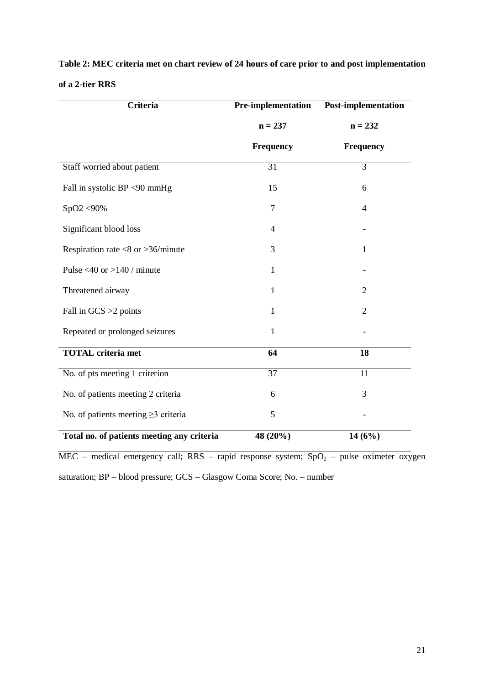| <b>Criteria</b>                            | Post-implementation<br>Pre-implementation |                  |  |
|--------------------------------------------|-------------------------------------------|------------------|--|
|                                            | $n = 237$                                 | $n = 232$        |  |
|                                            | <b>Frequency</b>                          | <b>Frequency</b> |  |
| Staff worried about patient                | $\overline{31}$                           | $\overline{3}$   |  |
| Fall in systolic BP <90 mmHg               | 15                                        | 6                |  |
| SpO2 <90%                                  | 7                                         | 4                |  |
| Significant blood loss                     | 4                                         |                  |  |
| Respiration rate $< 8$ or $> 36$ /minute   | 3                                         | 1                |  |
| Pulse <40 or >140 / minute                 | $\mathbf{1}$                              |                  |  |
| Threatened airway                          | $\mathbf{1}$                              | 2                |  |
| Fall in $GCS > 2$ points                   | 1                                         | $\overline{2}$   |  |
| Repeated or prolonged seizures             | 1                                         |                  |  |
| <b>TOTAL</b> criteria met                  | 64                                        | 18               |  |
| No. of pts meeting 1 criterion             | 37                                        | 11               |  |
| No. of patients meeting 2 criteria         | 6                                         | 3                |  |
| No. of patients meeting $\geq$ 3 criteria  | 5                                         |                  |  |
| Total no. of patients meeting any criteria | 48 (20%)                                  | 14(6%)           |  |

**Table 2: MEC criteria met on chart review of 24 hours of care prior to and post implementation of a 2-tier RRS** 

 $\overline{\text{MEC}}$  – medical emergency call; RRS – rapid response system; SpO<sub>2</sub> – pulse oximeter oxygen saturation; BP – blood pressure; GCS – Glasgow Coma Score; No. – number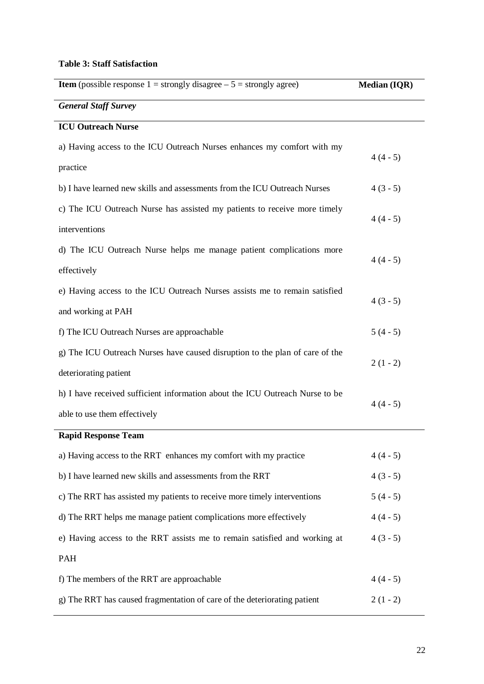### **Table 3: Staff Satisfaction**

| <b>Item</b> (possible response $1 =$ strongly disagree $-5 =$ strongly agree) | <b>Median (IQR)</b> |
|-------------------------------------------------------------------------------|---------------------|
| <b>General Staff Survey</b>                                                   |                     |
| <b>ICU Outreach Nurse</b>                                                     |                     |
| a) Having access to the ICU Outreach Nurses enhances my comfort with my       | $4(4-5)$            |
| practice                                                                      |                     |
| b) I have learned new skills and assessments from the ICU Outreach Nurses     | $4(3-5)$            |
| c) The ICU Outreach Nurse has assisted my patients to receive more timely     | $4(4-5)$            |
| interventions                                                                 |                     |
| d) The ICU Outreach Nurse helps me manage patient complications more          | $4(4-5)$            |
| effectively                                                                   |                     |
| e) Having access to the ICU Outreach Nurses assists me to remain satisfied    |                     |
| and working at PAH                                                            | $4(3-5)$            |
| f) The ICU Outreach Nurses are approachable                                   | $5(4-5)$            |
| g) The ICU Outreach Nurses have caused disruption to the plan of care of the  |                     |
| deteriorating patient                                                         | $2(1 - 2)$          |
| h) I have received sufficient information about the ICU Outreach Nurse to be  |                     |
| able to use them effectively                                                  | $4(4-5)$            |
| <b>Rapid Response Team</b>                                                    |                     |
| a) Having access to the RRT enhances my comfort with my practice              | $4(4-5)$            |
| b) I have learned new skills and assessments from the RRT                     | $4(3-5)$            |
| c) The RRT has assisted my patients to receive more timely interventions      | $5(4-5)$            |
| d) The RRT helps me manage patient complications more effectively             | $4(4-5)$            |
| e) Having access to the RRT assists me to remain satisfied and working at     | $4(3-5)$            |
| <b>PAH</b>                                                                    |                     |
| f) The members of the RRT are approachable                                    | $4(4-5)$            |
| g) The RRT has caused fragmentation of care of the deteriorating patient      | $2(1-2)$            |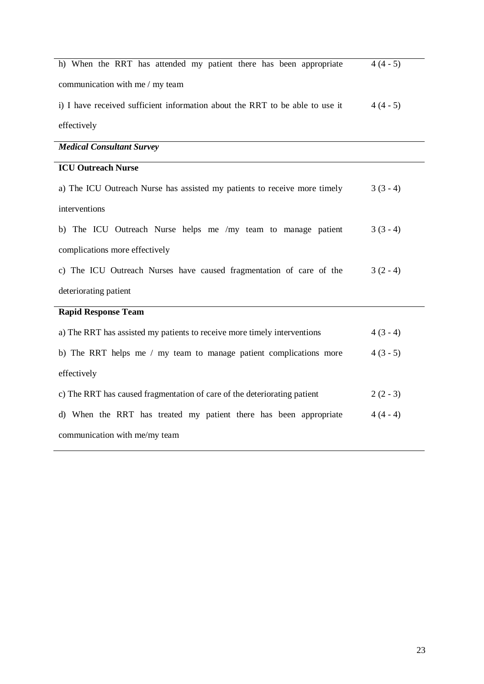| h) When the RRT has attended my patient there has been appropriate           | $4(4-5)$ |
|------------------------------------------------------------------------------|----------|
| communication with me / my team                                              |          |
| i) I have received sufficient information about the RRT to be able to use it | $4(4-5)$ |
| effectively                                                                  |          |
| <b>Medical Consultant Survey</b>                                             |          |
| <b>ICU Outreach Nurse</b>                                                    |          |
| a) The ICU Outreach Nurse has assisted my patients to receive more timely    | $3(3-4)$ |
| interventions                                                                |          |
| b) The ICU Outreach Nurse helps me /my team to manage patient                | $3(3-4)$ |
| complications more effectively                                               |          |
| c) The ICU Outreach Nurses have caused fragmentation of care of the          | $3(2-4)$ |
| deteriorating patient                                                        |          |
| <b>Rapid Response Team</b>                                                   |          |
| a) The RRT has assisted my patients to receive more timely interventions     | $4(3-4)$ |
| b) The RRT helps me / my team to manage patient complications more           | $4(3-5)$ |
| effectively                                                                  |          |
| c) The RRT has caused fragmentation of care of the deteriorating patient     | $2(2-3)$ |
| d) When the RRT has treated my patient there has been appropriate            | $4(4-4)$ |
| communication with me/my team                                                |          |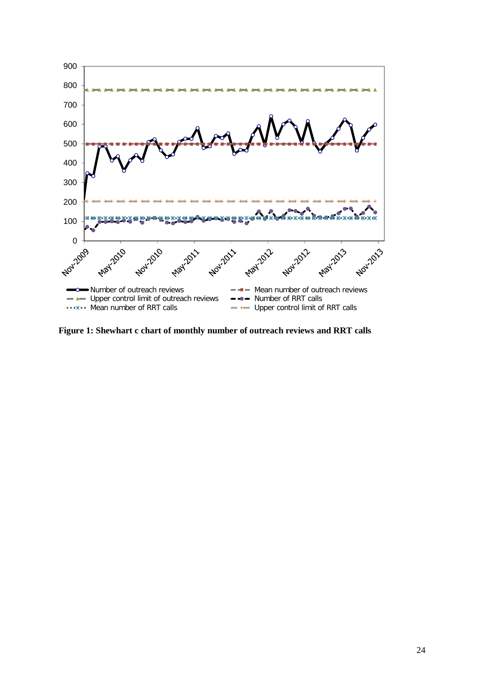

**Figure 1: Shewhart c chart of monthly number of outreach reviews and RRT calls**